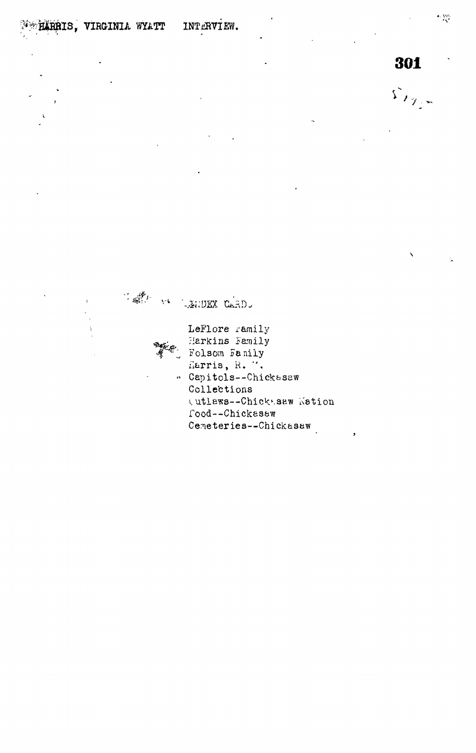301

 $\mathcal{L}_{\mathcal{F}_{\mathcal{F}^{\mathcal{F}}}^{\mathcal{F}}}$ 

 $\frac{1}{2}\sum_{i=1}^{n} \sum_{i=1}^{n} \frac{1}{i} \sum_{i=1}^{n} \frac{1}{i} \sum_{i=1}^{n} \frac{1}{i} \sum_{i=1}^{n} \frac{1}{i} \sum_{i=1}^{n} \frac{1}{i} \sum_{i=1}^{n} \frac{1}{i} \sum_{i=1}^{n} \frac{1}{i} \sum_{i=1}^{n} \frac{1}{i} \sum_{i=1}^{n} \frac{1}{i} \sum_{i=1}^{n} \frac{1}{i} \sum_{i=1}^{n} \frac{1}{i} \sum_{i=1}^{n} \frac{1}{i}$ VA LENDEX CARD. LeFlore ramily Harkins Family Folsom Family Harris, R. V. " Capitols--Chickasaw Collections (utlaws--Chick saw Kation Tood--Chickesaw Cemeteries--Chickasaw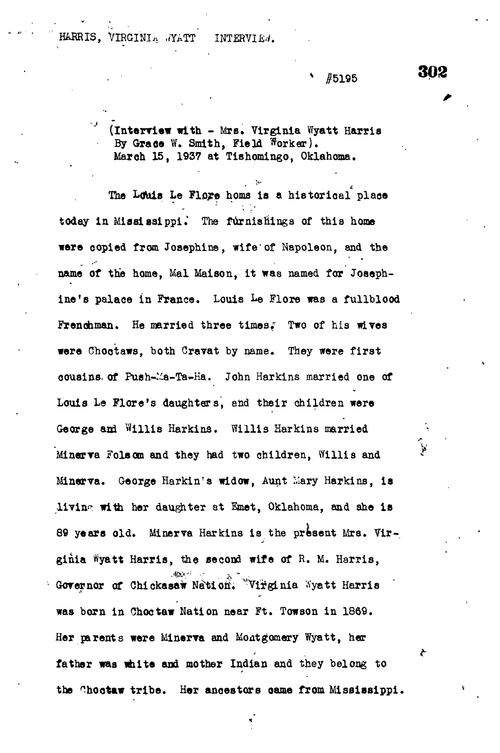HARRIS, VIRGINIA .YATT INTERVIEN.

**• " #5195**

**(Interview with - Mrs. Virginia Wyatt Harris By Graee W. Smith, Field Worker).** March 15, 1937 at Tishomingo, Oklahoma.

The Louis Le Flore homs is a historical place **The Ltfbis Le Flore horns is a historical place** today in Mississippi. The furnishings of this home were copied from Josephine, wife of Napoleon, and the **\*ere copied from Josephine, wife of Napoleon, and the** name of the home, Mal Maison, it was named for Joseph**name of the home, Mai Mai son, it was named for Joseph**ine's palace in France. Louis Le Flore was a fullblood Frenchman. He married three times," Two of his wives **Frenchman. He married three times," Two of his wives** were Choctaws, both Cravat by name. They were first cousins of Push-Ma-Ta-Ha. John Harkins married one of **oousins. of Push—V.a-Ta-Ha. John Harkins married one of** Louis Le Flore's daughters, and their children were **Louis Le Flora's daughters, and their children were <sup>V</sup> Minerva Folsom and they had two children, Willis and** Minerva. George Harkin's widow, Aunt Mary Harkins, is living with her daughter at Emet, Oklahoma, and she is **89 years old. Minerva Harkins is the present Mrs. Virginia %att Harris, the second wife of R. M. Harris,**  $dP$   $\geq$   $\sim$ Governor of Chickasaw Nation. "Virginia Nyatt Harris **was born in Choc taw Nation near Ft. Towson in 1869. Her parents were Minerva and Montgomery Wyatt, her father was white and mother Indian and they belong to the ^hoctaw tribe. Her ancestors oame from Mississippi.** 302

r.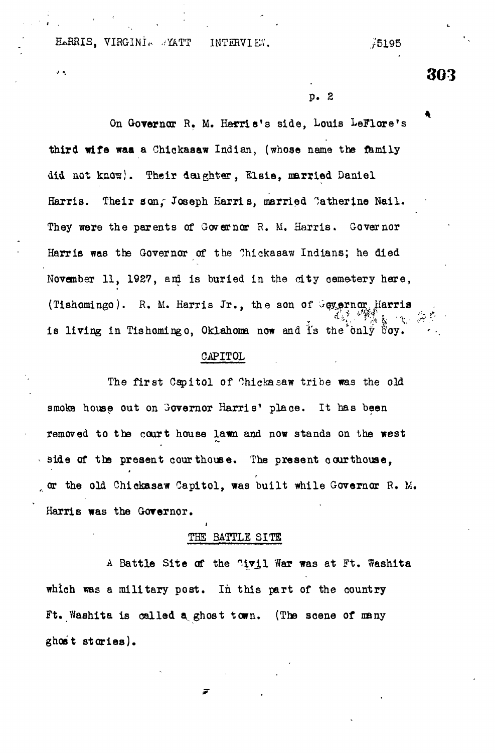HARRIS, VIRGINI. *..* YATT INTERVIEW. ... ... 75195

 $\mathbf{J}$  .

**303**

p. 2

On Governor R. M. Harris's side, Louis LeFlore's third wife waa a Chickaaaw Indian, (whose name the family did not know). Their daughter, Elsie, married Daniel Harris. Their son, Joseph Harris, married Catherine Nail. They were the parents of Governor R. M. Harris. Governor Harris was the Governor of the Chickasaw Indians; he died November 11, 1927, and is buried in the city cemetery here, (Tishomingo). R. M. Harris Jr., the son of Goyernor. Harris is living in Tishomingo, Oklahoma now and is the only  $\mathbb{S}_{0y}$ .

### GAPITOL

The first Capitol of Chickasaw tribe was the old smoke house out on Governor Harris' place. It has been removed to the court house lawn and now stands on the west side of the present courthouse. The present courthouse, or the old Ghickasaw Capitol, was built while Governor R. M. Harris was the Governor.

# THE BATTLE SITE

A Battle Site of the Civil War was at Ft. Washita which was a military post. In this part of the country Ft. Washita is called a^ ghost town. (The scene of many ghost stories).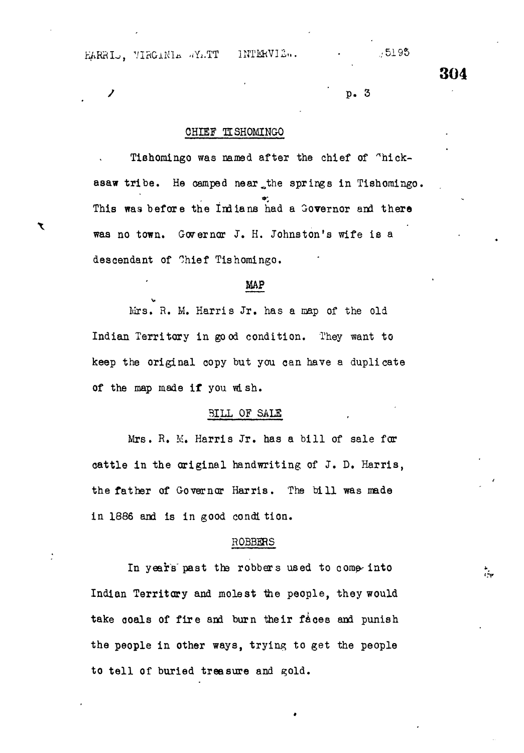KARRIS, VIRGINIA «Y..TT 1NTERVIE». • , 5195

**304**

 $\ddot{\phantom{a}}$ 

# $\mathcal{V}$  by  $p \cdot 3$  is the positive set of  $p \cdot 3$

## CHIEF TISHOMINGO

Tishomingo was named after the chief of "hickasaw tribe. He camped near the springs in Tishomingo. This was before the Indians had a Governor and there was no town. Governor J. H. Johnston's wife is a descendant of Chief Tishomingo.

### MAP

Mrs. R. M. Harris Jr. has a map of the old Indian Territory in good condition. They want to keep the original copy but you can have a duplicate of the map made if you wish.

#### 3ILL OF SALS

Mrs. R. M. Harris Jr. has a bill of sale for cattle in the original handwriting of J. D. Harris, the father of Governor Harris. The bill was made in 1886 and is in good condi tion.

### ROBBERS

In years past the robbers used to come into Indian Territory and molest the people, they would take coals of fire and burn their faces and punish the people in other ways, trying to get the people to tell of buried treasure and gold.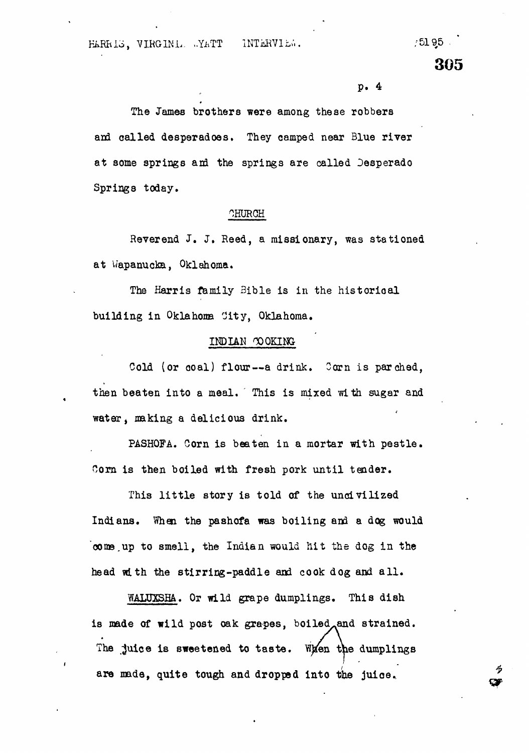$/5195$ 

**305**

#### p. 4

The James brothers were among these robbers and called desperadoes. They camped near Blue river at some springs and the springs are called Desperado Springs today.

# OHUROH

Reverend J. J. Reed, a missionary, was stationed a t Wapanucka, Oklahoma.

The Harris family Bible is in the historical building in Oklahoma City, Oklahoma.

## INDIAN OOQKING-

Cold (or coal) flour--a drink. Corn is parched. then beaten into a meal. This is mixed with sugar and water, making a delicious drink.

PASHOFA. Corn is beaten in a mortar with pestle . Corn is then boiled with fresh pork until tender.

This little story is told of the uncivilized Indians. When, the pashofa was boiling and a dog would come .up to smell, the Indian would hit the dog in the head with the stirring-paddle and cook dog and all .

WALUXSHA. Or wild grape dumplings. This dish is made of wild post oak grapes, boiled, and strained. The juice is sweetened to taste. When the dumplings are made, quite tough and dropped into the juice.